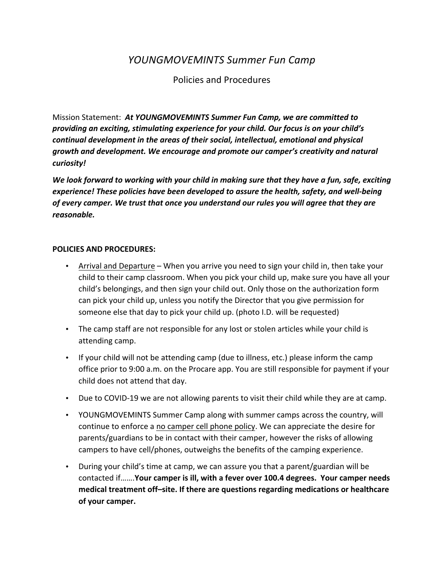## *YOUNGMOVEMINTS Summer Fun Camp*

## Policies and Procedures

Mission Statement: At *YOUNGMOVEMINTS Summer Fun Camp, we are committed to providing an exciting, stimulating experience for your child. Our focus is on your child's continual development in the areas of their social, intellectual, emotional and physical* growth and development. We encourage and promote our camper's creativity and natural *curiosity!* 

We look forward to working with your child in making sure that they have a fun, safe, exciting experience! These policies have been developed to assure the health, safety, and well-being of every camper. We trust that once you understand our rules you will agree that they are *reasonable.*

## **POLICIES AND PROCEDURES:**

- Arrival and Departure When you arrive you need to sign your child in, then take your child to their camp classroom. When you pick your child up, make sure you have all your child's belongings, and then sign your child out. Only those on the authorization form can pick your child up, unless you notify the Director that you give permission for someone else that day to pick your child up. (photo I.D. will be requested)
- The camp staff are not responsible for any lost or stolen articles while your child is attending camp.
- If your child will not be attending camp (due to illness, etc.) please inform the camp office prior to 9:00 a.m. on the Procare app. You are still responsible for payment if your child does not attend that day.
- Due to COVID-19 we are not allowing parents to visit their child while they are at camp.
- YOUNGMOVEMINTS Summer Camp along with summer camps across the country, will continue to enforce a no camper cell phone policy. We can appreciate the desire for parents/guardians to be in contact with their camper, however the risks of allowing campers to have cell/phones, outweighs the benefits of the camping experience.
- During your child's time at camp, we can assure you that a parent/guardian will be contacted if…….**Your camper is ill, with a fever over 100.4 degrees. Your camper needs** medical treatment off-site. If there are questions regarding medications or healthcare **of your camper.**